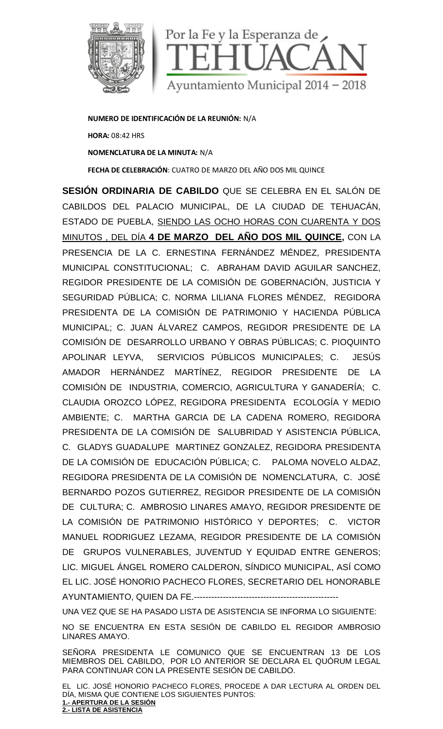

**NUMERO DE IDENTIFICACIÓN DE LA REUNIÓN:** N/A **HORA:** 08:42 HRS **NOMENCLATURA DE LA MINUTA:** N/A **FECHA DE CELEBRACIÓN**: CUATRO DE MARZO DEL AÑO DOS MIL QUINCE

**SESIÓN ORDINARIA DE CABILDO** QUE SE CELEBRA EN EL SALÓN DE CABILDOS DEL PALACIO MUNICIPAL, DE LA CIUDAD DE TEHUACÁN, ESTADO DE PUEBLA, SIENDO LAS OCHO HORAS CON CUARENTA Y DOS MINUTOS , DEL DÍA **4 DE MARZO DEL AÑO DOS MIL QUINCE,** CON LA PRESENCIA DE LA C. ERNESTINA FERNÁNDEZ MÉNDEZ, PRESIDENTA MUNICIPAL CONSTITUCIONAL; C. ABRAHAM DAVID AGUILAR SANCHEZ, REGIDOR PRESIDENTE DE LA COMISIÓN DE GOBERNACIÓN, JUSTICIA Y SEGURIDAD PÚBLICA; C. NORMA LILIANA FLORES MÉNDEZ, REGIDORA PRESIDENTA DE LA COMISIÓN DE PATRIMONIO Y HACIENDA PÚBLICA MUNICIPAL; C. JUAN ÁLVAREZ CAMPOS, REGIDOR PRESIDENTE DE LA COMISIÓN DE DESARROLLO URBANO Y OBRAS PÚBLICAS; C. PIOQUINTO APOLINAR LEYVA, SERVICIOS PÚBLICOS MUNICIPALES; C. JESÚS AMADOR HERNÁNDEZ MARTÍNEZ, REGIDOR PRESIDENTE DE LA COMISIÓN DE INDUSTRIA, COMERCIO, AGRICULTURA Y GANADERÍA; C. CLAUDIA OROZCO LÓPEZ, REGIDORA PRESIDENTA ECOLOGÍA Y MEDIO AMBIENTE; C. MARTHA GARCIA DE LA CADENA ROMERO, REGIDORA PRESIDENTA DE LA COMISIÓN DE SALUBRIDAD Y ASISTENCIA PÚBLICA, C. GLADYS GUADALUPE MARTINEZ GONZALEZ, REGIDORA PRESIDENTA DE LA COMISIÓN DE EDUCACIÓN PÚBLICA; C. PALOMA NOVELO ALDAZ, REGIDORA PRESIDENTA DE LA COMISIÓN DE NOMENCLATURA, C. JOSÉ BERNARDO POZOS GUTIERREZ, REGIDOR PRESIDENTE DE LA COMISIÓN DE CULTURA; C. AMBROSIO LINARES AMAYO, REGIDOR PRESIDENTE DE LA COMISIÓN DE PATRIMONIO HISTÓRICO Y DEPORTES; C. VICTOR MANUEL RODRIGUEZ LEZAMA, REGIDOR PRESIDENTE DE LA COMISIÓN DE GRUPOS VULNERABLES, JUVENTUD Y EQUIDAD ENTRE GENEROS; LIC. MIGUEL ÁNGEL ROMERO CALDERON, SÍNDICO MUNICIPAL, ASÍ COMO EL LIC. JOSÉ HONORIO PACHECO FLORES, SECRETARIO DEL HONORABLE AYUNTAMIENTO, QUIEN DA FE.--------------------------------------------------

UNA VEZ QUE SE HA PASADO LISTA DE ASISTENCIA SE INFORMA LO SIGUIENTE:

NO SE ENCUENTRA EN ESTA SESIÓN DE CABILDO EL REGIDOR AMBROSIO LINARES AMAYO.

SEÑORA PRESIDENTA LE COMUNICO QUE SE ENCUENTRAN 13 DE LOS MIEMBROS DEL CABILDO, POR LO ANTERIOR SE DECLARA EL QUÓRUM LEGAL PARA CONTINUAR CON LA PRESENTE SESIÓN DE CABILDO.

EL LIC. JOSÉ HONORIO PACHECO FLORES, PROCEDE A DAR LECTURA AL ORDEN DEL DÍA, MISMA QUE CONTIENE LOS SIGUIENTES PUNTOS: **1.- APERTURA DE LA SESIÓN 2.- LISTA DE ASISTENCIA**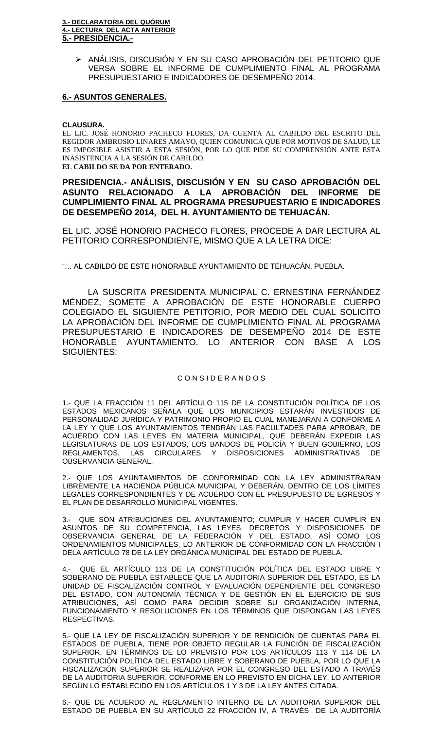ANÁLISIS, DISCUSIÓN Y EN SU CASO APROBACIÓN DEL PETITORIO QUE VERSA SOBRE EL INFORME DE CUMPLIMIENTO FINAL AL PROGRAMA PRESUPUESTARIO E INDICADORES DE DESEMPEÑO 2014.

#### **6.- ASUNTOS GENERALES.**

#### **CLAUSURA.**

EL LIC. JOSÉ HONORIO PACHECO FLORES, DA CUENTA AL CABILDO DEL ESCRITO DEL REGIDOR AMBROSIO LINARES AMAYO, QUIEN COMUNICA QUE POR MOTIVOS DE SALUD, LE ES IMPOSIBLE ASISTIR A ESTA SESIÓN, POR LO QUE PIDE SU COMPRENSIÓN ANTE ESTA INASISTENCIA A LA SESIÓN DE CABILDO. **EL CABILDO SE DA POR ENTERADO.**

## **PRESIDENCIA.- ANÁLISIS, DISCUSIÓN Y EN SU CASO APROBACIÓN DEL ASUNTO RELACIONADO A LA APROBACIÓN DEL INFORME DE CUMPLIMIENTO FINAL AL PROGRAMA PRESUPUESTARIO E INDICADORES DE DESEMPEÑO 2014, DEL H. AYUNTAMIENTO DE TEHUACÁN.**

EL LIC. JOSÉ HONORIO PACHECO FLORES, PROCEDE A DAR LECTURA AL PETITORIO CORRESPONDIENTE, MISMO QUE A LA LETRA DICE:

"… AL CABILDO DE ESTE HONORABLE AYUNTAMIENTO DE TEHUACÁN, PUEBLA.

LA SUSCRITA PRESIDENTA MUNICIPAL C. ERNESTINA FERNÁNDEZ MÉNDEZ, SOMETE A APROBACIÓN DE ESTE HONORABLE CUERPO COLEGIADO EL SIGUIENTE PETITORIO, POR MEDIO DEL CUAL SOLICITO LA APROBACIÓN DEL INFORME DE CUMPLIMIENTO FINAL AL PROGRAMA PRESUPUESTARIO E INDICADORES DE DESEMPEÑO 2014 DE ESTE HONORABLE AYUNTAMIENTO. LO ANTERIOR CON BASE A LOS SIGUIENTES:

#### C O N S I D E R A N D O S

1.- QUE LA FRACCIÓN 11 DEL ARTÍCULO 115 DE LA CONSTITUCIÓN POLÍTICA DE LOS ESTADOS MEXICANOS SEÑALA QUE LOS MUNICIPIOS ESTARÁN INVESTIDOS DE PERSONALIDAD JURÍDICA Y PATRIMONIO PROPIO EL CUAL MANEJARAN A CONFORME A LA LEY Y QUE LOS AYUNTAMIENTOS TENDRÁN LAS FACULTADES PARA APROBAR, DE ACUERDO CON LAS LEYES EN MATERIA MUNICIPAL, QUE DEBERÁN EXPEDIR LAS LEGISLATURAS DE LOS ESTADOS, LOS BANDOS DE POLICÍA Y BUEN GOBIERNO, LOS<br>REGLAMENTOS. LAS CIRCULARES Y DISPOSICIONES ADMINISTRATIVAS DE LAS CIRCULARES Y DISPOSICIONES ADMINISTRATIVAS DE OBSERVANCIA GENERAL.

2.- QUE LOS AYUNTAMIENTOS DE CONFORMIDAD CON LA LEY ADMINISTRARAN LIBREMENTE LA HACIENDA PÚBLICA MUNICIPAL Y DEBERÁN, DENTRO DE LOS LÍMITES LEGALES CORRESPONDIENTES Y DE ACUERDO CON EL PRESUPUESTO DE EGRESOS Y EL PLAN DE DESARROLLO MUNICIPAL VIGENTES.

3.- QUE SON ATRIBUCIONES DEL AYUNTAMIENTO; CUMPLIR Y HACER CUMPLIR EN ASUNTOS DE SU COMPETENCIA, LAS LEYES, DECRETOS Y DISPOSICIONES DE OBSERVANCIA GENERAL DE LA FEDERACIÓN Y DEL ESTADO, ASÍ COMO LOS ORDENAMIENTOS MUNICIPALES, LO ANTERIOR DE CONFORMIDAD CON LA FRACCIÓN I DELA ARTÍCULO 78 DE LA LEY ORGÁNICA MUNICIPAL DEL ESTADO DE PUEBLA.

4.- QUE EL ARTÍCULO 113 DE LA CONSTITUCIÓN POLÍTICA DEL ESTADO LIBRE Y SOBERANO DE PUEBLA ESTABLECE QUE LA AUDITORIA SUPERIOR DEL ESTADO, ES LA UNIDAD DE FISCALIZACIÓN CONTROL Y EVALUACIÓN DEPENDIENTE DEL CONGRESO DEL ESTADO, CON AUTONOMÍA TÉCNICA Y DE GESTIÓN EN EL EJERCICIO DE SUS ATRIBUCIONES, ASÍ COMO PARA DECIDIR SOBRE SU ORGANIZACIÓN INTERNA, FUNCIONAMIENTO Y RESOLUCIONES EN LOS TÉRMINOS QUE DISPONGAN LAS LEYES RESPECTIVAS.

5.- QUE LA LEY DE FISCALIZACIÓN SUPERIOR Y DE RENDICIÓN DE CUENTAS PARA EL ESTADOS DE PUEBLA, TIENE POR OBJETO REGULAR LA FUNCIÓN DE FISCALIZACIÓN SUPERIOR, EN TÉRMINOS DE LO PREVISTO POR LOS ARTÍCULOS 113 Y 114 DE LA CONSTITUCIÓN POLÍTICA DEL ESTADO LIBRE Y SOBERANO DE PUEBLA, POR LO QUE LA FISCALIZACIÓN SUPERIOR SE REALIZARA POR EL CONGRESO DEL ESTADO A TRAVÉS DE LA AUDITORIA SUPERIOR, CONFORME EN LO PREVISTO EN DICHA LEY. LO ANTERIOR SEGÚN LO ESTABLECIDO EN LOS ARTÍCULOS 1 Y 3 DE LA LEY ANTES CITADA.

6.- QUE DE ACUERDO AL REGLAMENTO INTERNO DE LA AUDITORIA SUPERIOR DEL ESTADO DE PUEBLA EN SU ARTÍCULO 22 FRACCIÓN IV, A TRAVÉS DE LA AUDITORÍA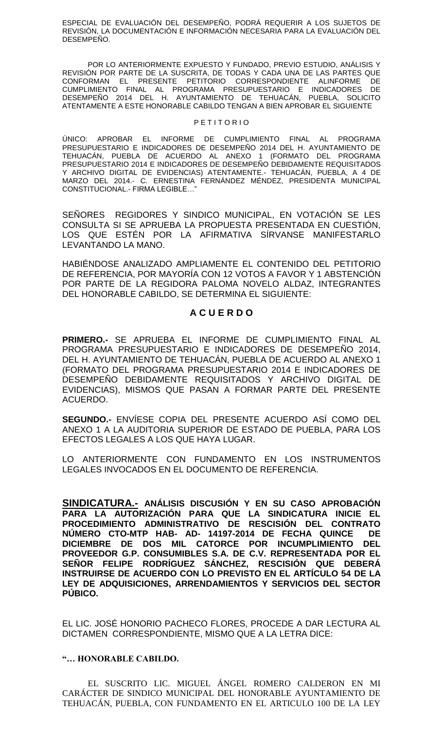ESPECIAL DE EVALUACIÓN DEL DESEMPEÑO, PODRÁ REQUERIR A LOS SUJETOS DE REVISIÓN, LA DOCUMENTACIÓN E INFORMACIÓN NECESARIA PARA LA EVALUACIÓN DEL DESEMPEÑO.

POR LO ANTERIORMENTE EXPUESTO Y FUNDADO, PREVIO ESTUDIO, ANÁLISIS Y REVISIÓN POR PARTE DE LA SUSCRITA, DE TODAS Y CADA UNA DE LAS PARTES QUE<br>CONFORMAN EL PRESENTE PETITORIO CORRESPONDIFNTE ALINFORME DE CONFORMAN EL PRESENTE PETITORIO CORRESPONDIENTE ALINFORME CUMPLIMIENTO FINAL AL PROGRAMA PRESUPUESTARIO E INDICADORES DE DESEMPEÑO 2014 DEL H. AYUNTAMIENTO DE TEHUACÁN, PUEBLA, SOLICITO ATENTAMENTE A ESTE HONORABLE CABILDO TENGAN A BIEN APROBAR EL SIGUIENTE

#### P E T I T O R I O

ÚNICO: APROBAR EL INFORME DE CUMPLIMIENTO FINAL AL PROGRAMA PRESUPUESTARIO E INDICADORES DE DESEMPEÑO 2014 DEL H. AYUNTAMIENTO DE TEHUACÁN, PUEBLA DE ACUERDO AL ANEXO 1 (FORMATO DEL PROGRAMA PRESUPUESTARIO 2014 E INDICADORES DE DESEMPEÑO DEBIDAMENTE REQUISITADOS Y ARCHIVO DIGITAL DE EVIDENCIAS) ATENTAMENTE.- TEHUACÁN, PUEBLA, A 4 DE MARZO DEL 2014.- C. ERNESTINA FERNÁNDEZ MÉNDEZ, PRESIDENTA MUNICIPAL CONSTITUCIONAL.- FIRMA LEGIBLE…"

SEÑORES REGIDORES Y SINDICO MUNICIPAL, EN VOTACIÓN SE LES CONSULTA SI SE APRUEBA LA PROPUESTA PRESENTADA EN CUESTIÓN, LOS QUE ESTÉN POR LA AFIRMATIVA SÍRVANSE MANIFESTARLO LEVANTANDO LA MANO.

HABIÉNDOSE ANALIZADO AMPLIAMENTE EL CONTENIDO DEL PETITORIO DE REFERENCIA, POR MAYORÍA CON 12 VOTOS A FAVOR Y 1 ABSTENCIÓN POR PARTE DE LA REGIDORA PALOMA NOVELO ALDAZ, INTEGRANTES DEL HONORABLE CABILDO, SE DETERMINA EL SIGUIENTE:

## **A C U E R D O**

**PRIMERO.-** SE APRUEBA EL INFORME DE CUMPLIMIENTO FINAL AL PROGRAMA PRESUPUESTARIO E INDICADORES DE DESEMPEÑO 2014, DEL H. AYUNTAMIENTO DE TEHUACÁN, PUEBLA DE ACUERDO AL ANEXO 1 (FORMATO DEL PROGRAMA PRESUPUESTARIO 2014 E INDICADORES DE DESEMPEÑO DEBIDAMENTE REQUISITADOS Y ARCHIVO DIGITAL DE EVIDENCIAS), MISMOS QUE PASAN A FORMAR PARTE DEL PRESENTE ACUERDO.

**SEGUNDO.-** ENVÍESE COPIA DEL PRESENTE ACUERDO ASÍ COMO DEL ANEXO 1 A LA AUDITORIA SUPERIOR DE ESTADO DE PUEBLA, PARA LOS EFECTOS LEGALES A LOS QUE HAYA LUGAR.

LO ANTERIORMENTE CON FUNDAMENTO EN LOS INSTRUMENTOS LEGALES INVOCADOS EN EL DOCUMENTO DE REFERENCIA.

**SINDICATURA.- ANÁLISIS DISCUSIÓN Y EN SU CASO APROBACIÓN PARA LA AUTORIZACIÓN PARA QUE LA SINDICATURA INICIE EL PROCEDIMIENTO ADMINISTRATIVO DE RESCISIÓN DEL CONTRATO NÚMERO CTO-MTP HAB- AD- 14197-2014 DE FECHA QUINCE DE DICIEMBRE DE DOS MIL CATORCE POR INCUMPLIMIENTO DEL PROVEEDOR G.P. CONSUMIBLES S.A. DE C.V. REPRESENTADA POR EL SEÑOR FELIPE RODRÍGUEZ SÁNCHEZ, RESCISIÓN QUE DEBERÁ INSTRUIRSE DE ACUERDO CON LO PREVISTO EN EL ARTÍCULO 54 DE LA LEY DE ADQUISICIONES, ARRENDAMIENTOS Y SERVICIOS DEL SECTOR PÚBICO.** 

EL LIC. JOSÉ HONORIO PACHECO FLORES, PROCEDE A DAR LECTURA AL DICTAMEN CORRESPONDIENTE, MISMO QUE A LA LETRA DICE:

## **"… HONORABLE CABILDO.**

EL SUSCRITO LIC. MIGUEL ÁNGEL ROMERO CALDERON EN MI CARÁCTER DE SINDICO MUNICIPAL DEL HONORABLE AYUNTAMIENTO DE TEHUACÁN, PUEBLA, CON FUNDAMENTO EN EL ARTICULO 100 DE LA LEY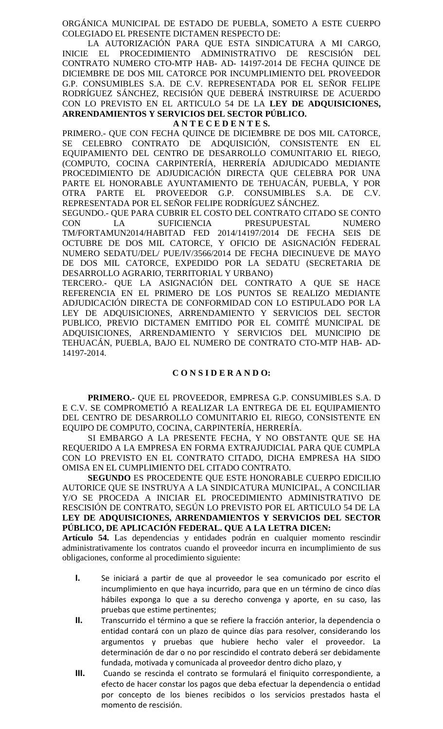ORGÁNICA MUNICIPAL DE ESTADO DE PUEBLA, SOMETO A ESTE CUERPO COLEGIADO EL PRESENTE DICTAMEN RESPECTO DE:

LA AUTORIZACIÓN PARA QUE ESTA SINDICATURA A MI CARGO, INICIE EL PROCEDIMIENTO ADMINISTRATIVO DE RESCISIÓN DEL CONTRATO NUMERO CTO-MTP HAB- AD- 14197-2014 DE FECHA QUINCE DE DICIEMBRE DE DOS MIL CATORCE POR INCUMPLIMIENTO DEL PROVEEDOR G.P. CONSUMIBLES S.A. DE C.V. REPRESENTADA POR EL SEÑOR FELIPE RODRÍGUEZ SÁNCHEZ, RECISIÓN QUE DEBERÁ INSTRUIRSE DE ACUERDO CON LO PREVISTO EN EL ARTICULO 54 DE LA **LEY DE ADQUISICIONES, ARRENDAMIENTOS Y SERVICIOS DEL SECTOR PÚBLICO.**

### **A N T E C E D E N T E S.**

PRIMERO.- QUE CON FECHA QUINCE DE DICIEMBRE DE DOS MIL CATORCE, SE CELEBRO CONTRATO DE ADQUISICIÓN, CONSISTENTE EN EL EQUIPAMIENTO DEL CENTRO DE DESARROLLO COMUNITARIO EL RIEGO, (COMPUTO, COCINA CARPINTERÍA, HERRERÍA ADJUDICADO MEDIANTE PROCEDIMIENTO DE ADJUDICACIÓN DIRECTA QUE CELEBRA POR UNA PARTE EL HONORABLE AYUNTAMIENTO DE TEHUACÁN, PUEBLA, Y POR OTRA PARTE EL PROVEEDOR G.P. CONSUMIBLES S.A. DE C.V. REPRESENTADA POR EL SEÑOR FELIPE RODRÍGUEZ SÁNCHEZ.

SEGUNDO.- QUE PARA CUBRIR EL COSTO DEL CONTRATO CITADO SE CONTO CON LA SUFICIENCIA PRESUPUESTAL NUMERO TM/FORTAMUN2014/HABITAD FED 2014/14197/2014 DE FECHA SEIS DE OCTUBRE DE DOS MIL CATORCE, Y OFICIO DE ASIGNACIÓN FEDERAL NUMERO SEDATU/DEL/ PUE/IV/3566/2014 DE FECHA DIECINUEVE DE MAYO DE DOS MIL CATORCE, EXPEDIDO POR LA SEDATU (SECRETARIA DE DESARROLLO AGRARIO, TERRITORIAL Y URBANO)

TERCERO.- QUE LA ASIGNACIÓN DEL CONTRATO A QUE SE HACE REFERENCIA EN EL PRIMERO DE LOS PUNTOS SE REALIZO MEDIANTE ADJUDICACIÓN DIRECTA DE CONFORMIDAD CON LO ESTIPULADO POR LA LEY DE ADQUISICIONES, ARRENDAMIENTO Y SERVICIOS DEL SECTOR PUBLICO, PREVIO DICTAMEN EMITIDO POR EL COMITÉ MUNICIPAL DE ADQUISICIONES, ARRENDAMIENTO Y SERVICIOS DEL MUNICIPIO DE TEHUACÁN, PUEBLA, BAJO EL NUMERO DE CONTRATO CTO-MTP HAB- AD-14197-2014.

# **C O N S I D E R A N D O:**

**PRIMERO.-** QUE EL PROVEEDOR, EMPRESA G.P. CONSUMIBLES S.A. D E C.V. SE COMPROMETIÓ A REALIZAR LA ENTREGA DE EL EQUIPAMIENTO DEL CENTRO DE DESARROLLO COMUNITARIO EL RIEGO, CONSISTENTE EN EQUIPO DE COMPUTO, COCINA, CARPINTERÍA, HERRERÍA.

SI EMBARGO A LA PRESENTE FECHA, Y NO OBSTANTE QUE SE HA REQUERIDO A LA EMPRESA EN FORMA EXTRAJUDICIAL PARA QUE CUMPLA CON LO PREVISTO EN EL CONTRATO CITADO, DICHA EMPRESA HA SIDO OMISA EN EL CUMPLIMIENTO DEL CITADO CONTRATO.

**SEGUNDO** ES PROCEDENTE QUE ESTE HONORABLE CUERPO EDICILIO AUTORICE QUE SE INSTRUYA A LA SINDICATURA MUNICIPAL, A CONCILIAR Y/O SE PROCEDA A INICIAR EL PROCEDIMIENTO ADMINISTRATIVO DE RESCISIÓN DE CONTRATO, SEGÚN LO PREVISTO POR EL ARTICULO 54 DE LA **LEY DE ADQUISICIONES, ARRENDAMIENTOS Y SERVICIOS DEL SECTOR PÚBLICO, DE APLICACIÓN FEDERAL. QUE A LA LETRA DICEN:**

**Artículo 54.** Las dependencias y entidades podrán en cualquier momento rescindir administrativamente los contratos cuando el proveedor incurra en incumplimiento de sus obligaciones, conforme al procedimiento siguiente:

- **I.** Se iniciará a partir de que al proveedor le sea comunicado por escrito el incumplimiento en que haya incurrido, para que en un término de cinco días hábiles exponga lo que a su derecho convenga y aporte, en su caso, las pruebas que estime pertinentes;
- **II.** Transcurrido el término a que se refiere la fracción anterior, la dependencia o entidad contará con un plazo de quince días para resolver, considerando los argumentos y pruebas que hubiere hecho valer el proveedor. La determinación de dar o no por rescindido el contrato deberá ser debidamente fundada, motivada y comunicada al proveedor dentro dicho plazo, y
- **III.** Cuando se rescinda el contrato se formulará el finiquito correspondiente, a efecto de hacer constar los pagos que deba efectuar la dependencia o entidad por concepto de los bienes recibidos o los servicios prestados hasta el momento de rescisión.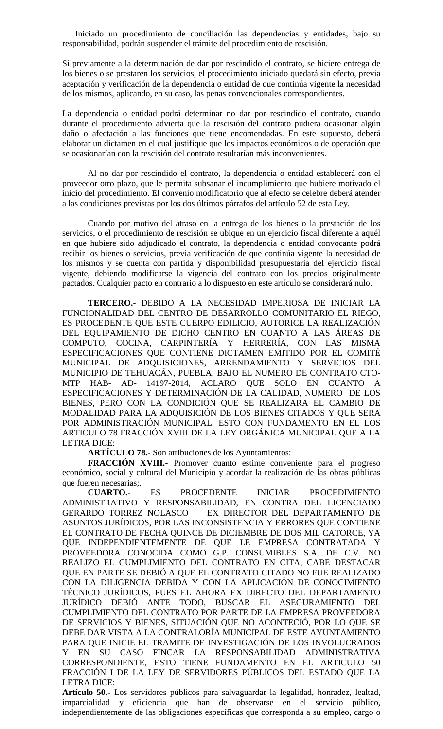Iniciado un procedimiento de conciliación las dependencias y entidades, bajo su responsabilidad, podrán suspender el trámite del procedimiento de rescisión.

Si previamente a la determinación de dar por rescindido el contrato, se hiciere entrega de los bienes o se prestaren los servicios, el procedimiento iniciado quedará sin efecto, previa aceptación y verificación de la dependencia o entidad de que continúa vigente la necesidad de los mismos, aplicando, en su caso, las penas convencionales correspondientes.

La dependencia o entidad podrá determinar no dar por rescindido el contrato, cuando durante el procedimiento advierta que la rescisión del contrato pudiera ocasionar algún daño o afectación a las funciones que tiene encomendadas. En este supuesto, deberá elaborar un dictamen en el cual justifique que los impactos económicos o de operación que se ocasionarían con la rescisión del contrato resultarían más inconvenientes.

Al no dar por rescindido el contrato, la dependencia o entidad establecerá con el proveedor otro plazo, que le permita subsanar el incumplimiento que hubiere motivado el inicio del procedimiento. El convenio modificatorio que al efecto se celebre deberá atender a las condiciones previstas por los dos últimos párrafos del artículo 52 de esta Ley.

Cuando por motivo del atraso en la entrega de los bienes o la prestación de los servicios, o el procedimiento de rescisión se ubique en un ejercicio fiscal diferente a aquél en que hubiere sido adjudicado el contrato, la dependencia o entidad convocante podrá recibir los bienes o servicios, previa verificación de que continúa vigente la necesidad de los mismos y se cuenta con partida y disponibilidad presupuestaria del ejercicio fiscal vigente, debiendo modificarse la vigencia del contrato con los precios originalmente pactados. Cualquier pacto en contrario a lo dispuesto en este artículo se considerará nulo.

**TERCERO.**- DEBIDO A LA NECESIDAD IMPERIOSA DE INICIAR LA FUNCIONALIDAD DEL CENTRO DE DESARROLLO COMUNITARIO EL RIEGO, ES PROCEDENTE QUE ESTE CUERPO EDILICIO, AUTORICE LA REALIZACIÓN DEL EQUIPAMIENTO DE DICHO CENTRO EN CUANTO A LAS ÁREAS DE COMPUTO, COCINA, CARPINTERÍA Y HERRERÍA, CON LAS MISMA ESPECIFICACIONES QUE CONTIENE DICTAMEN EMITIDO POR EL COMITÉ MUNICIPAL DE ADQUISICIONES, ARRENDAMIENTO Y SERVICIOS DEL MUNICIPIO DE TEHUACÁN, PUEBLA, BAJO EL NUMERO DE CONTRATO CTO-MTP HAB- AD- 14197-2014, ACLARO QUE SOLO EN CUANTO A ESPECIFICACIONES Y DETERMINACIÓN DE LA CALIDAD, NUMERO DE LOS BIENES, PERO CON LA CONDICIÓN QUE SE REALIZARA EL CAMBIO DE MODALIDAD PARA LA ADQUISICIÓN DE LOS BIENES CITADOS Y QUE SERA POR ADMINISTRACIÓN MUNICIPAL, ESTO CON FUNDAMENTO EN EL LOS ARTICULO 78 FRACCIÓN XVIII DE LA LEY ORGÁNICA MUNICIPAL QUE A LA LETRA DICE:

**ARTÍCULO 78.-** Son atribuciones de los Ayuntamientos:

**FRACCIÓN XVIII.-** Promover cuanto estime conveniente para el progreso económico, social y cultural del Municipio y acordar la realización de las obras públicas que fueren necesarias;.

**CUARTO.-** ES PROCEDENTE INICIAR PROCEDIMIENTO ADMINISTRATIVO Y RESPONSABILIDAD, EN CONTRA DEL LICENCIADO GERARDO TORREZ NOLASCO EX DIRECTOR DEL DEPARTAMENTO DE ASUNTOS JURÍDICOS, POR LAS INCONSISTENCIA Y ERRORES QUE CONTIENE EL CONTRATO DE FECHA QUINCE DE DICIEMBRE DE DOS MIL CATORCE, YA QUE INDEPENDIENTEMENTE DE QUE LE EMPRESA CONTRATADA Y PROVEEDORA CONOCIDA COMO G.P. CONSUMIBLES S.A. DE C.V. NO REALIZO EL CUMPLIMIENTO DEL CONTRATO EN CITA, CABE DESTACAR QUE EN PARTE SE DEBIÓ A QUE EL CONTRATO CITADO NO FUE REALIZADO CON LA DILIGENCIA DEBIDA Y CON LA APLICACIÓN DE CONOCIMIENTO TÉCNICO JURÍDICOS, PUES EL AHORA EX DIRECTO DEL DEPARTAMENTO JURÍDICO DEBIÓ ANTE TODO, BUSCAR EL ASEGURAMIENTO DEL CUMPLIMIENTO DEL CONTRATO POR PARTE DE LA EMPRESA PROVEEDORA DE SERVICIOS Y BIENES, SITUACIÓN QUE NO ACONTECIÓ, POR LO QUE SE DEBE DAR VISTA A LA CONTRALORÍA MUNICIPAL DE ESTE AYUNTAMIENTO PARA QUE INICIE EL TRAMITE DE INVESTIGACIÓN DE LOS INVOLUCRADOS Y EN SU CASO FINCAR LA RESPONSABILIDAD ADMINISTRATIVA CORRESPONDIENTE, ESTO TIENE FUNDAMENTO EN EL ARTICULO 50 FRACCIÓN I DE LA LEY DE SERVIDORES PÚBLICOS DEL ESTADO QUE LA LETRA DICE:

**Artículo 50.-** Los servidores públicos para salvaguardar la legalidad, honradez, lealtad, imparcialidad y eficiencia que han de observarse en el servicio público, independientemente de las obligaciones específicas que corresponda a su empleo, cargo o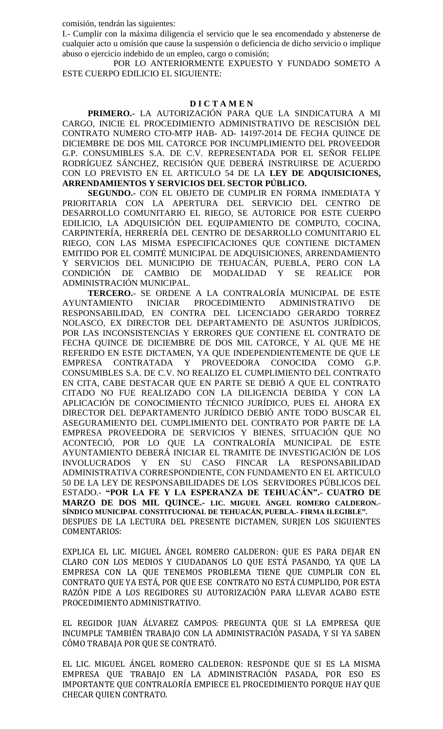comisión, tendrán las siguientes:

I.- Cumplir con la máxima diligencia el servicio que le sea encomendado y abstenerse de cualquier acto u omisión que cause la suspensión o deficiencia de dicho servicio o implique abuso o ejercicio indebido de un empleo, cargo o comisión;

POR LO ANTERIORMENTE EXPUESTO Y FUNDADO SOMETO A ESTE CUERPO EDILICIO EL SIGUIENTE:

#### **D I C T A M E N**

**PRIMERO.**- LA AUTORIZACIÓN PARA QUE LA SINDICATURA A MI CARGO, INICIE EL PROCEDIMIENTO ADMINISTRATIVO DE RESCISIÓN DEL CONTRATO NUMERO CTO-MTP HAB- AD- 14197-2014 DE FECHA QUINCE DE DICIEMBRE DE DOS MIL CATORCE POR INCUMPLIMIENTO DEL PROVEEDOR G.P. CONSUMIBLES S.A. DE C.V. REPRESENTADA POR EL SEÑOR FELIPE RODRÍGUEZ SÁNCHEZ, RECISIÓN QUE DEBERÁ INSTRUIRSE DE ACUERDO CON LO PREVISTO EN EL ARTICULO 54 DE LA **LEY DE ADQUISICIONES, ARRENDAMIENTOS Y SERVICIOS DEL SECTOR PÚBLICO.**

**SEGUNDO.-** CON EL OBJETO DE CUMPLIR EN FORMA INMEDIATA Y PRIORITARIA CON LA APERTURA DEL SERVICIO DEL CENTRO DE DESARROLLO COMUNITARIO EL RIEGO, SE AUTORICE POR ESTE CUERPO EDILICIO, LA ADQUISICIÓN DEL EQUIPAMIENTO DE COMPUTO, COCINA, CARPINTERÍA, HERRERÍA DEL CENTRO DE DESARROLLO COMUNITARIO EL RIEGO, CON LAS MISMA ESPECIFICACIONES QUE CONTIENE DICTAMEN EMITIDO POR EL COMITÉ MUNICIPAL DE ADQUISICIONES, ARRENDAMIENTO Y SERVICIOS DEL MUNICIPIO DE TEHUACÁN, PUEBLA, PERO CON LA CONDICIÓN DE CAMBIO DE MODALIDAD Y SE REALICE POR ADMINISTRACIÓN MUNICIPAL.

**TERCERO.**- SE ORDENE A LA CONTRALORÍA MUNICIPAL DE ESTE AYUNTAMIENTO INICIAR PROCEDIMIENTO ADMINISTRATIVO DE RESPONSABILIDAD, EN CONTRA DEL LICENCIADO GERARDO TORREZ NOLASCO, EX DIRECTOR DEL DEPARTAMENTO DE ASUNTOS JURÍDICOS, POR LAS INCONSISTENCIAS Y ERRORES QUE CONTIENE EL CONTRATO DE FECHA QUINCE DE DICIEMBRE DE DOS MIL CATORCE, Y AL QUE ME HE REFERIDO EN ESTE DICTAMEN, YA QUE INDEPENDIENTEMENTE DE QUE LE EMPRESA CONTRATADA Y PROVEEDORA CONOCIDA COMO G.P. CONSUMIBLES S.A. DE C.V. NO REALIZO EL CUMPLIMIENTO DEL CONTRATO EN CITA, CABE DESTACAR QUE EN PARTE SE DEBIÓ A QUE EL CONTRATO CITADO NO FUE REALIZADO CON LA DILIGENCIA DEBIDA Y CON LA APLICACIÓN DE CONOCIMIENTO TÉCNICO JURÍDICO, PUES EL AHORA EX DIRECTOR DEL DEPARTAMENTO JURÍDICO DEBIÓ ANTE TODO BUSCAR EL ASEGURAMIENTO DEL CUMPLIMIENTO DEL CONTRATO POR PARTE DE LA EMPRESA PROVEEDORA DE SERVICIOS Y BIENES, SITUACIÓN QUE NO ACONTECIÓ, POR LO QUE LA CONTRALORÍA MUNICIPAL DE ESTE AYUNTAMIENTO DEBERÁ INICIAR EL TRAMITE DE INVESTIGACIÓN DE LOS INVOLUCRADOS Y EN SU CASO FINCAR LA RESPONSABILIDAD ADMINISTRATIVA CORRESPONDIENTE, CON FUNDAMENTO EN EL ARTICULO 50 DE LA LEY DE RESPONSABILIDADES DE LOS SERVIDORES PÚBLICOS DEL ESTADO.- **"POR LA FE Y LA ESPERANZA DE TEHUACÁN".- CUATRO DE MARZO DE DOS MIL QUINCE.- LIC. MIGUEL ÁNGEL ROMERO CALDERON.- SÍNDICO MUNICIPAL CONSTITUCIONAL DE TEHUACÁN, PUEBLA.- FIRMA ILEGIBLE".** DESPUES DE LA LECTURA DEL PRESENTE DICTAMEN, SURJEN LOS SIGUIENTES COMENTARIOS:

EXPLICA EL LIC. MIGUEL ÁNGEL ROMERO CALDERON: QUE ES PARA DEJAR EN CLARO CON LOS MEDIOS Y CIUDADANOS LO QUE ESTÁ PASANDO, YA QUE LA EMPRESA CON LA QUE TENEMOS PROBLEMA TIENE QUE CUMPLIR CON EL CONTRATO QUE YA ESTÁ, POR QUE ESE CONTRATO NO ESTÁ CUMPLIDO, POR ESTA RAZÓN PIDE A LOS REGIDORES SU AUTORIZACIÓN PARA LLEVAR ACABO ESTE PROCEDIMIENTO ADMINISTRATIVO.

EL REGIDOR JUAN ÁLVAREZ CAMPOS: PREGUNTA QUE SI LA EMPRESA QUE INCUMPLE TAMBIÉN TRABAJO CON LA ADMINISTRACIÓN PASADA, Y SI YA SABEN CÓMO TRABAJA POR QUE SE CONTRATÓ.

EL LIC. MIGUEL ÁNGEL ROMERO CALDERON: RESPONDE QUE SI ES LA MISMA EMPRESA QUE TRABAJO EN LA ADMINISTRACIÓN PASADA, POR ESO ES IMPORTANTE QUE CONTRALORÍA EMPIECE EL PROCEDIMIENTO PORQUE HAY QUE CHECAR QUIEN CONTRATO.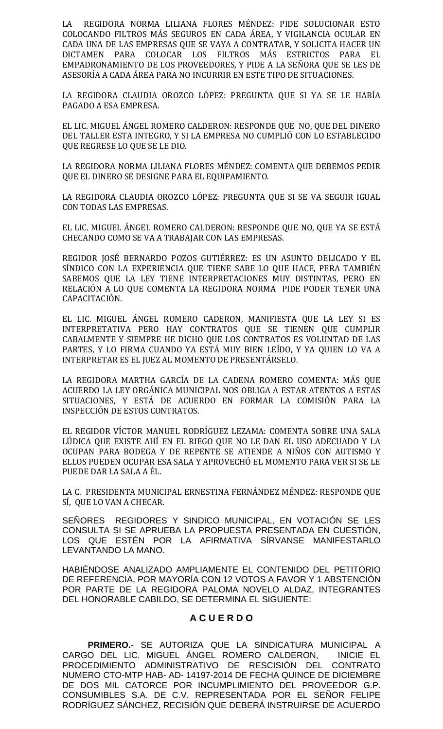LA REGIDORA NORMA LILIANA FLORES MÉNDEZ: PIDE SOLUCIONAR ESTO COLOCANDO FILTROS MÁS SEGUROS EN CADA ÁREA, Y VIGILANCIA OCULAR EN CADA UNA DE LAS EMPRESAS QUE SE VAYA A CONTRATAR, Y SOLICITA HACER UN DICTAMEN PARA COLOCAR LOS FILTROS MÁS ESTRICTOS PARA EL EMPADRONAMIENTO DE LOS PROVEEDORES, Y PIDE A LA SEÑORA QUE SE LES DE ASESORÍA A CADA ÁREA PARA NO INCURRIR EN ESTE TIPO DE SITUACIONES.

LA REGIDORA CLAUDIA OROZCO LÓPEZ: PREGUNTA QUE SI YA SE LE HABÍA PAGADO A ESA EMPRESA.

EL LIC. MIGUEL ÁNGEL ROMERO CALDERON: RESPONDE QUE NO, QUE DEL DINERO DEL TALLER ESTA INTEGRO, Y SI LA EMPRESA NO CUMPLIÓ CON LO ESTABLECIDO QUE REGRESE LO QUE SE LE DIO.

LA REGIDORA NORMA LILIANA FLORES MÉNDEZ: COMENTA QUE DEBEMOS PEDIR QUE EL DINERO SE DESIGNE PARA EL EQUIPAMIENTO.

LA REGIDORA CLAUDIA OROZCO LÓPEZ: PREGUNTA QUE SI SE VA SEGUIR IGUAL CON TODAS LAS EMPRESAS.

EL LIC. MIGUEL ÁNGEL ROMERO CALDERON: RESPONDE QUE NO, QUE YA SE ESTÁ CHECANDO COMO SE VA A TRABAJAR CON LAS EMPRESAS.

REGIDOR JOSÉ BERNARDO POZOS GUTIÉRREZ: ES UN ASUNTO DELICADO Y EL SÍNDICO CON LA EXPERIENCIA QUE TIENE SABE LO QUE HACE, PERA TAMBIÉN SABEMOS QUE LA LEY TIENE INTERPRETACIONES MUY DISTINTAS, PERO EN RELACIÓN A LO QUE COMENTA LA REGIDORA NORMA PIDE PODER TENER UNA CAPACITACIÓN.

EL LIC. MIGUEL ÁNGEL ROMERO CADERON, MANIFIESTA QUE LA LEY SI ES INTERPRETATIVA PERO HAY CONTRATOS QUE SE TIENEN QUE CUMPLIR CABALMENTE Y SIEMPRE HE DICHO QUE LOS CONTRATOS ES VOLUNTAD DE LAS PARTES, Y LO FIRMA CUANDO YA ESTÁ MUY BIEN LEÍDO, Y YA QUIEN LO VA A INTERPRETAR ES EL JUEZ AL MOMENTO DE PRESENTÁRSELO.

LA REGIDORA MARTHA GARCÍA DE LA CADENA ROMERO COMENTA: MÁS QUE ACUERDO LA LEY ORGÁNICA MUNICIPAL NOS OBLIGA A ESTAR ATENTOS A ESTAS SITUACIONES, Y ESTÁ DE ACUERDO EN FORMAR LA COMISIÓN PARA LA INSPECCIÓN DE ESTOS CONTRATOS.

EL REGIDOR VÍCTOR MANUEL RODRÍGUEZ LEZAMA: COMENTA SOBRE UNA SALA LÚDICA QUE EXISTE AHÍ EN EL RIEGO QUE NO LE DAN EL USO ADECUADO Y LA OCUPAN PARA BODEGA Y DE REPENTE SE ATIENDE A NIÑOS CON AUTISMO Y ELLOS PUEDEN OCUPAR ESA SALA Y APROVECHÓ EL MOMENTO PARA VER SI SE LE PUEDE DAR LA SALA A ÉL.

LA C. PRESIDENTA MUNICIPAL ERNESTINA FERNÁNDEZ MÉNDEZ: RESPONDE QUE SÍ, QUE LO VAN A CHECAR.

SEÑORES REGIDORES Y SINDICO MUNICIPAL, EN VOTACIÓN SE LES CONSULTA SI SE APRUEBA LA PROPUESTA PRESENTADA EN CUESTIÓN, LOS QUE ESTÉN POR LA AFIRMATIVA SÍRVANSE MANIFESTARLO LEVANTANDO LA MANO.

HABIÉNDOSE ANALIZADO AMPLIAMENTE EL CONTENIDO DEL PETITORIO DE REFERENCIA, POR MAYORÍA CON 12 VOTOS A FAVOR Y 1 ABSTENCIÓN POR PARTE DE LA REGIDORA PALOMA NOVELO ALDAZ, INTEGRANTES DEL HONORABLE CABILDO, SE DETERMINA EL SIGUIENTE:

# **A C U E R D O**

**PRIMERO.**- SE AUTORIZA QUE LA SINDICATURA MUNICIPAL A CARGO DEL LIC. MIGUEL ÁNGEL ROMERO CALDERON, INICIE EL PROCEDIMIENTO ADMINISTRATIVO DE RESCISIÓN DEL CONTRATO NUMERO CTO-MTP HAB- AD- 14197-2014 DE FECHA QUINCE DE DICIEMBRE DE DOS MIL CATORCE POR INCUMPLIMIENTO DEL PROVEEDOR G.P. CONSUMIBLES S.A. DE C.V. REPRESENTADA POR EL SEÑOR FELIPE RODRÍGUEZ SÁNCHEZ, RECISIÓN QUE DEBERÁ INSTRUIRSE DE ACUERDO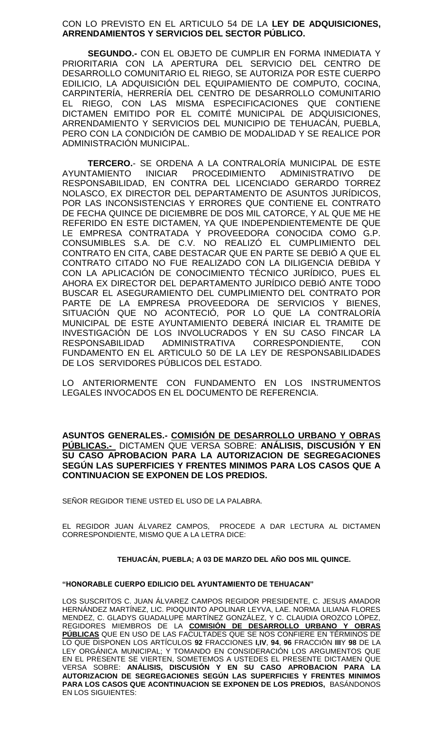## CON LO PREVISTO EN EL ARTICULO 54 DE LA **LEY DE ADQUISICIONES, ARRENDAMIENTOS Y SERVICIOS DEL SECTOR PÚBLICO.**

**SEGUNDO.-** CON EL OBJETO DE CUMPLIR EN FORMA INMEDIATA Y PRIORITARIA CON LA APERTURA DEL SERVICIO DEL CENTRO DE DESARROLLO COMUNITARIO EL RIEGO, SE AUTORIZA POR ESTE CUERPO EDILICIO, LA ADQUISICIÓN DEL EQUIPAMIENTO DE COMPUTO, COCINA, CARPINTERÍA, HERRERÍA DEL CENTRO DE DESARROLLO COMUNITARIO EL RIEGO, CON LAS MISMA ESPECIFICACIONES QUE CONTIENE DICTAMEN EMITIDO POR EL COMITÉ MUNICIPAL DE ADQUISICIONES, ARRENDAMIENTO Y SERVICIOS DEL MUNICIPIO DE TEHUACÁN, PUEBLA, PERO CON LA CONDICIÓN DE CAMBIO DE MODALIDAD Y SE REALICE POR ADMINISTRACIÓN MUNICIPAL.

**TERCERO.**- SE ORDENA A LA CONTRALORÍA MUNICIPAL DE ESTE AYUNTAMIENTO INICIAR PROCEDIMIENTO ADMINISTRATIVO DE RESPONSABILIDAD, EN CONTRA DEL LICENCIADO GERARDO TORREZ NOLASCO, EX DIRECTOR DEL DEPARTAMENTO DE ASUNTOS JURÍDICOS, POR LAS INCONSISTENCIAS Y ERRORES QUE CONTIENE EL CONTRATO DE FECHA QUINCE DE DICIEMBRE DE DOS MIL CATORCE, Y AL QUE ME HE REFERIDO EN ESTE DICTAMEN, YA QUE INDEPENDIENTEMENTE DE QUE LE EMPRESA CONTRATADA Y PROVEEDORA CONOCIDA COMO G.P. CONSUMIBLES S.A. DE C.V. NO REALIZÓ EL CUMPLIMIENTO DEL CONTRATO EN CITA, CABE DESTACAR QUE EN PARTE SE DEBIÓ A QUE EL CONTRATO CITADO NO FUE REALIZADO CON LA DILIGENCIA DEBIDA Y CON LA APLICACIÓN DE CONOCIMIENTO TÉCNICO JURÍDICO, PUES EL AHORA EX DIRECTOR DEL DEPARTAMENTO JURÍDICO DEBIÓ ANTE TODO BUSCAR EL ASEGURAMIENTO DEL CUMPLIMIENTO DEL CONTRATO POR PARTE DE LA EMPRESA PROVEEDORA DE SERVICIOS Y BIENES, SITUACIÓN QUE NO ACONTECIÓ, POR LO QUE LA CONTRALORÍA MUNICIPAL DE ESTE AYUNTAMIENTO DEBERÁ INICIAR EL TRAMITE DE INVESTIGACIÓN DE LOS INVOLUCRADOS Y EN SU CASO FINCAR LA RESPONSABILIDAD ADMINISTRATIVA CORRESPONDIENTE, CON FUNDAMENTO EN EL ARTICULO 50 DE LA LEY DE RESPONSABILIDADES DE LOS SERVIDORES PÚBLICOS DEL ESTADO.

LO ANTERIORMENTE CON FUNDAMENTO EN LOS INSTRUMENTOS LEGALES INVOCADOS EN EL DOCUMENTO DE REFERENCIA.

**ASUNTOS GENERALES.- COMISIÓN DE DESARROLLO URBANO Y OBRAS PÚBLICAS.-** DICTAMEN QUE VERSA SOBRE: **ANÁLISIS, DISCUSIÓN Y EN SU CASO APROBACION PARA LA AUTORIZACION DE SEGREGACIONES SEGÚN LAS SUPERFICIES Y FRENTES MINIMOS PARA LOS CASOS QUE A CONTINUACION SE EXPONEN DE LOS PREDIOS.**

SEÑOR REGIDOR TIENE USTED EL USO DE LA PALABRA.

EL REGIDOR JUAN ÁLVAREZ CAMPOS, PROCEDE A DAR LECTURA AL DICTAMEN CORRESPONDIENTE, MISMO QUE A LA LETRA DICE:

## **TEHUACÁN, PUEBLA; A 03 DE MARZO DEL AÑO DOS MIL QUINCE.**

#### **"HONORABLE CUERPO EDILICIO DEL AYUNTAMIENTO DE TEHUACAN"**

LOS SUSCRITOS C. JUAN ÁLVAREZ CAMPOS REGIDOR PRESIDENTE, C. JESUS AMADOR HERNÁNDEZ MARTÍNEZ, LIC. PIOQUINTO APOLINAR LEYVA, LAE. NORMA LILIANA FLORES MENDEZ, C. GLADYS GUADALUPE MARTÍNEZ GONZÁLEZ, Y C. CLAUDIA OROZCO LÓPEZ, REGIDORES MIEMBROS DE LA **COMISIÓN DE DESARROLLO URBANO Y OBRAS PÚBLICAS** QUE EN USO DE LAS FACULTADES QUE SE NOS CONFIERE EN TÉRMINOS DE LO QUE DISPONEN LOS ARTÍCULOS **92** FRACCIONES **I,IV**, **94**, **96** FRACCIÓN **III**Y **98** DE LA LEY ORGÁNICA MUNICIPAL; Y TOMANDO EN CONSIDERACIÓN LOS ARGUMENTOS QUE EN EL PRESENTE SE VIERTEN, SOMETEMOS A USTEDES EL PRESENTE DICTAMEN QUE VERSA SOBRE: **ANÁLISIS, DISCUSIÓN Y EN SU CASO APROBACION PARA LA AUTORIZACION DE SEGREGACIONES SEGÚN LAS SUPERFICIES Y FRENTES MINIMOS PARA LOS CASOS QUE ACONTINUACION SE EXPONEN DE LOS PREDIOS,** BASÁNDONOS EN LOS SIGUIENTES: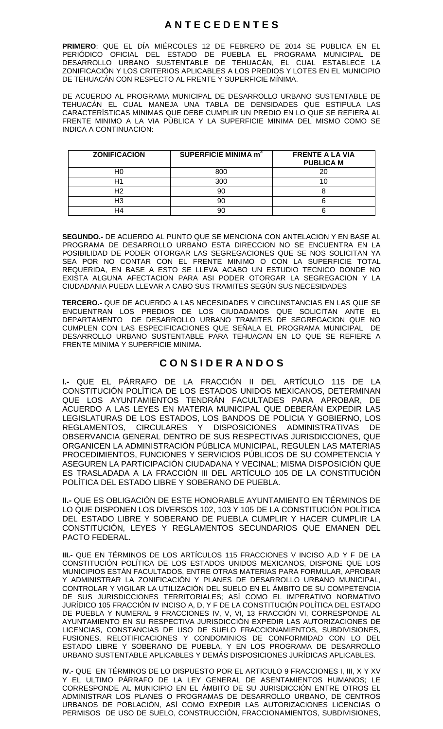# **A N T E C E D E N T E S**

**PRIMERO**: QUE EL DÍA MIÉRCOLES 12 DE FEBRERO DE 2014 SE PUBLICA EN EL PERIÓDICO OFICIAL DEL ESTADO DE PUEBLA EL PROGRAMA MUNICIPAL DE DESARROLLO URBANO SUSTENTABLE DE TEHUACÁN, EL CUAL ESTABLECE LA DESARROLLO URBANO SUSTENTABLE DE TEHUACÁN, EL CUAL ESTABLECE LA<br>ZONIFICACIÓN Y LOS CRITERIOS APLICABLES A LOS PREDIOS Y LOTES EN EL MUNICIPIO DE TEHUACÁN CON RESPECTO AL FRENTE Y SUPERFICIE MÍNIMA.

DE ACUERDO AL PROGRAMA MUNICIPAL DE DESARROLLO URBANO SUSTENTABLE DE TEHUACÁN EL CUAL MANEJA UNA TABLA DE DENSIDADES QUE ESTIPULA LAS CARACTERÍSTICAS MINIMAS QUE DEBE CUMPLIR UN PREDIO EN LO QUE SE REFIERA AL FRENTE MINIMO A LA VIA PÚBLICA Y LA SUPERFICIE MINIMA DEL MISMO COMO SE INDICA A CONTINUACION:

| <b>ZONIFICACION</b> | SUPERFICIE MINIMA m <sup>2</sup> | <b>FRENTE A LA VIA</b><br><b>PUBLICA M</b> |
|---------------------|----------------------------------|--------------------------------------------|
|                     | 800                              |                                            |
|                     | 300                              |                                            |
|                     |                                  |                                            |
| HЗ                  |                                  |                                            |
|                     |                                  |                                            |

**SEGUNDO.-** DE ACUERDO AL PUNTO QUE SE MENCIONA CON ANTELACION Y EN BASE AL PROGRAMA DE DESARROLLO URBANO ESTA DIRECCION NO SE ENCUENTRA EN LA POSIBILIDAD DE PODER OTORGAR LAS SEGREGACIONES QUE SE NOS SOLICITAN YA SEA POR NO CONTAR CON EL FRENTE MINIMO O CON LA SUPERFICIE TOTAL REQUERIDA, EN BASE A ESTO SE LLEVA ACABO UN ESTUDIO TECNICO DONDE NO EXISTA ALGUNA AFECTACION PARA ASI PODER OTORGAR LA SEGREGACION Y LA CIUDADANIA PUEDA LLEVAR A CABO SUS TRAMITES SEGÚN SUS NECESIDADES

**TERCERO.-** QUE DE ACUERDO A LAS NECESIDADES Y CIRCUNSTANCIAS EN LAS QUE SE ENCUENTRAN LOS PREDIOS DE LOS CIUDADANOS QUE SOLICITAN ANTE EL DEPARTAMENTO DE DESARROLLO URBANO TRAMITES DE SEGREGACION QUE NO CUMPLEN CON LAS ESPECIFICACIONES QUE SEÑALA EL PROGRAMA MUNICIPAL DE DESARROLLO URBANO SUSTENTABLE PARA TEHUACAN EN LO QUE SE REFIERE A FRENTE MINIMA Y SUPERFICIE MINIMA.

# **C O N S I D E R A N D O S**

**I.-** QUE EL PÁRRAFO DE LA FRACCIÓN II DEL ARTÍCULO 115 DE LA CONSTITUCIÓN POLÍTICA DE LOS ESTADOS UNIDOS MEXICANOS, DETERMINAN QUE LOS AYUNTAMIENTOS TENDRÁN FACULTADES PARA APROBAR, DE ACUERDO A LAS LEYES EN MATERIA MUNICIPAL QUE DEBERÁN EXPEDIR LAS LEGISLATURAS DE LOS ESTADOS, LOS BANDOS DE POLICIA Y GOBIERNO, LOS REGLAMENTOS, CIRCULARES Y DISPOSICIONES ADMINISTRATIVAS DE OBSERVANCIA GENERAL DENTRO DE SUS RESPECTIVAS JURISDICCIONES, QUE ORGANICEN LA ADMINISTRACIÓN PÚBLICA MUNICIPAL, REGULEN LAS MATERIAS PROCEDIMIENTOS, FUNCIONES Y SERVICIOS PÚBLICOS DE SU COMPETENCIA Y ASEGUREN LA PARTICIPACIÓN CIUDADANA Y VECINAL; MISMA DISPOSICIÓN QUE ES TRASLADADA A LA FRACCIÓN III DEL ARTÍCULO 105 DE LA CONSTITUCIÓN POLÍTICA DEL ESTADO LIBRE Y SOBERANO DE PUEBLA.

**II.-** QUE ES OBLIGACIÓN DE ESTE HONORABLE AYUNTAMIENTO EN TÉRMINOS DE LO QUE DISPONEN LOS DIVERSOS 102, 103 Y 105 DE LA CONSTITUCIÓN POLÍTICA DEL ESTADO LIBRE Y SOBERANO DE PUEBLA CUMPLIR Y HACER CUMPLIR LA CONSTITUCIÓN, LEYES Y REGLAMENTOS SECUNDARIOS QUE EMANEN DEL PACTO FEDERAL.

**III.-** QUE EN TÉRMINOS DE LOS ARTÍCULOS 115 FRACCIONES V INCISO A,D Y F DE LA CONSTITUCIÓN POLÍTICA DE LOS ESTADOS UNIDOS MEXICANOS, DISPONE QUE LOS MUNICIPIOS ESTÁN FACULTADOS, ENTRE OTRAS MATERIAS PARA FORMULAR, APROBAR Y ADMINISTRAR LA ZONIFICACIÓN Y PLANES DE DESARROLLO URBANO MUNICIPAL, CONTROLAR Y VIGILAR LA UTILIZACIÓN DEL SUELO EN EL ÁMBITO DE SU COMPETENCIA DE SUS JURISDICCIONES TERRITORIALES; ASÍ COMO EL IMPERATIVO NORMATIVO JURÍDICO 105 FRACCIÓN IV INCISO A, D, Y F DE LA CONSTITUCIÓN POLÍTICA DEL ESTADO DE PUEBLA Y NUMERAL 9 FRACCIONES IV, V, VI, 13 FRACCIÓN VI, CORRESPONDE AL AYUNTAMIENTO EN SU RESPECTIVA JURISDICCIÓN EXPEDIR LAS AUTORIZACIONES DE LICENCIAS, CONSTANCIAS DE USO DE SUELO FRACCIONAMIENTOS, SUBDIVISIONES, FUSIONES, RELOTIFICACIONES Y CONDOMINIOS DE CONFORMIDAD CON LO DEL ESTADO LIBRE Y SOBERANO DE PUEBLA, Y EN LOS PROGRAMA DE DESARROLLO URBANO SUSTENTABLE APLICABLES Y DEMÁS DISPOSICIONES JURÍDICAS APLICABLES.

**IV.-** QUE EN TÉRMINOS DE LO DISPUESTO POR EL ARTICULO 9 FRACCIONES I, III, X Y XV Y EL ULTIMO PÁRRAFO DE LA LEY GENERAL DE ASENTAMIENTOS HUMANOS; LE CORRESPONDE AL MUNICIPIO EN EL ÁMBITO DE SU JURISDICCIÓN ENTRE OTROS EL ADMINISTRAR LOS PLANES O PROGRAMAS DE DESARROLLO URBANO, DE CENTROS URBANOS DE POBLACIÓN, ASÍ COMO EXPEDIR LAS AUTORIZACIONES LICENCIAS O PERMISOS DE USO DE SUELO, CONSTRUCCIÓN, FRACCIONAMIENTOS, SUBDIVISIONES,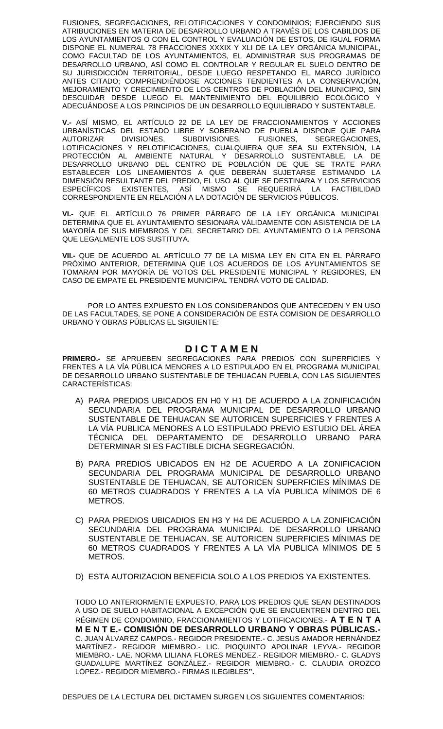FUSIONES, SEGREGACIONES, RELOTIFICACIONES Y CONDOMINIOS; EJERCIENDO SUS ATRIBUCIONES EN MATERIA DE DESARROLLO URBANO A TRAVÉS DE LOS CABILDOS DE LOS AYUNTAMIENTOS O CON EL CONTROL Y EVALUACIÓN DE ESTOS, DE IGUAL FORMA DISPONE EL NUMERAL 78 FRACCIONES XXXIX Y XLI DE LA LEY ORGÁNICA MUNICIPAL, COMO FACULTAD DE LOS AYUNTAMIENTOS, EL ADMINISTRAR SUS PROGRAMAS DE DESARROLLO URBANO, ASÍ COMO EL CONTROLAR Y REGULAR EL SUELO DENTRO DE SU JURISDICCIÓN TERRITORIAL, DESDE LUEGO RESPETANDO EL MARCO JURÍDICO ANTES CITADO; COMPRENDIÉNDOSE ACCIONES TENDIENTES A LA CONSERVACIÓN, MEJORAMIENTO Y CRECIMIENTO DE LOS CENTROS DE POBLACIÓN DEL MUNICIPIO, SIN DESCUIDAR DESDE LUEGO EL MANTENIMIENTO DEL EQUILIBRIO ECOLÓGICO Y ADECUÁNDOSE A LOS PRINCIPIOS DE UN DESARROLLO EQUILIBRADO Y SUSTENTABLE.

**V.-** ASÍ MISMO, EL ARTÍCULO 22 DE LA LEY DE FRACCIONAMIENTOS Y ACCIONES URBANÍSTICAS DEL ESTADO LIBRE Y SOBERANO DE PUEBLA DISPONE QUE PARA AUTORIZAR DIVISIONES, SUBDIVISIONES, FUSIONES, SEGREGACIONES, LOTIFICACIONES Y RELOTIFICACIONES, CUALQUIERA QUE SEA SU EXTENSIÓN, LA PROTECCIÓN AL AMBIENTE NATURAL Y DESARROLLO SUSTENTABLE, LA DE DESARROLLO URBANO DEL CENTRO DE POBLACIÓN DE QUE SE TRATE PARA ESTABLECER LOS LINEAMIENTOS A QUE DEBERÁN SUJETARSE ESTIMANDO LA DIMENSIÓN RESULTANTE DEL PREDIO, EL USO AL QUE SE DESTINARA Y LOS SERVICIOS ESPECÍFICOS EXISTENTES, ASÍ MISMO SE REQUERIRÁ LA FACTIBILIDAD CORRESPONDIENTE EN RELACIÓN A LA DOTACIÓN DE SERVICIOS PÚBLICOS.

**VI.-** QUE EL ARTÍCULO 76 PRIMER PÁRRAFO DE LA LEY ORGÁNICA MUNICIPAL DETERMINA QUE EL AYUNTAMIENTO SESIONARA VÁLIDAMENTE CON ASISTENCIA DE LA MAYORÍA DE SUS MIEMBROS Y DEL SECRETARIO DEL AYUNTAMIENTO O LA PERSONA QUE LEGALMENTE LOS SUSTITUYA.

**VII.-** QUE DE ACUERDO AL ARTÍCULO 77 DE LA MISMA LEY EN CITA EN EL PÁRRAFO PRÓXIMO ANTERIOR, DETERMINA QUE LOS ACUERDOS DE LOS AYUNTAMIENTOS SE TOMARAN POR MAYORÍA DE VOTOS DEL PRESIDENTE MUNICIPAL Y REGIDORES, EN CASO DE EMPATE EL PRESIDENTE MUNICIPAL TENDRÁ VOTO DE CALIDAD.

POR LO ANTES EXPUESTO EN LOS CONSIDERANDOS QUE ANTECEDEN Y EN USO DE LAS FACULTADES, SE PONE A CONSIDERACIÓN DE ESTA COMISION DE DESARROLLO URBANO Y OBRAS PÚBLICAS EL SIGUIENTE:

# **D I C T A M E N**

**PRIMERO.-** SE APRUEBEN SEGREGACIONES PARA PREDIOS CON SUPERFICIES Y FRENTES A LA VÍA PÚBLICA MENORES A LO ESTIPULADO EN EL PROGRAMA MUNICIPAL DE DESARROLLO URBANO SUSTENTABLE DE TEHUACAN PUEBLA, CON LAS SIGUIENTES CARACTERÍSTICAS:

- A) PARA PREDIOS UBICADOS EN H0 Y H1 DE ACUERDO A LA ZONIFICACIÓN SECUNDARIA DEL PROGRAMA MUNICIPAL DE DESARROLLO URBANO SUSTENTABLE DE TEHUACAN SE AUTORICEN SUPERFICIES Y FRENTES A LA VÍA PUBLICA MENORES A LO ESTIPULADO PREVIO ESTUDIO DEL ÁREA TÉCNICA DEL DEPARTAMENTO DE DESARROLLO URBANO PARA DETERMINAR SI ES FACTIBLE DICHA SEGREGACIÓN.
- B) PARA PREDIOS UBICADOS EN H2 DE ACUERDO A LA ZONIFICACION SECUNDARIA DEL PROGRAMA MUNICIPAL DE DESARROLLO URBANO SUSTENTABLE DE TEHUACAN, SE AUTORICEN SUPERFICIES MÍNIMAS DE 60 METROS CUADRADOS Y FRENTES A LA VÍA PUBLICA MÍNIMOS DE 6 METROS.
- C) PARA PREDIOS UBICADIOS EN H3 Y H4 DE ACUERDO A LA ZONIFICACIÓN SECUNDARIA DEL PROGRAMA MUNICIPAL DE DESARROLLO URBANO SUSTENTABLE DE TEHUACAN, SE AUTORICEN SUPERFICIES MÍNIMAS DE 60 METROS CUADRADOS Y FRENTES A LA VÍA PUBLICA MÍNIMOS DE 5 METROS.
- D) ESTA AUTORIZACION BENEFICIA SOLO A LOS PREDIOS YA EXISTENTES.

TODO LO ANTERIORMENTE EXPUESTO, PARA LOS PREDIOS QUE SEAN DESTINADOS A USO DE SUELO HABITACIONAL A EXCEPCIÓN QUE SE ENCUENTREN DENTRO DEL RÉGIMEN DE CONDOMINIO, FRACCIONAMIENTOS Y LOTIFICACIONES.- **A T E N T A M E N T E.- COMISIÓN DE DESARROLLO URBANO Y OBRAS PÚBLICAS.-** C. JUAN ÁLVAREZ CAMPOS.- REGIDOR PRESIDENTE.- C. JESUS AMADOR HERNÁNDEZ MARTÍNEZ.- REGIDOR MIEMBRO.- LIC. PIOQUINTO APOLINAR LEYVA.- REGIDOR MIEMBRO.- LAE. NORMA LILIANA FLORES MENDEZ.- REGIDOR MIEMBRO.- C. GLADYS GUADALUPE MARTÍNEZ GONZÁLEZ.- REGIDOR MIEMBRO.- C. CLAUDIA OROZCO LÓPEZ.- REGIDOR MIEMBRO.- FIRMAS ILEGIBLES**".**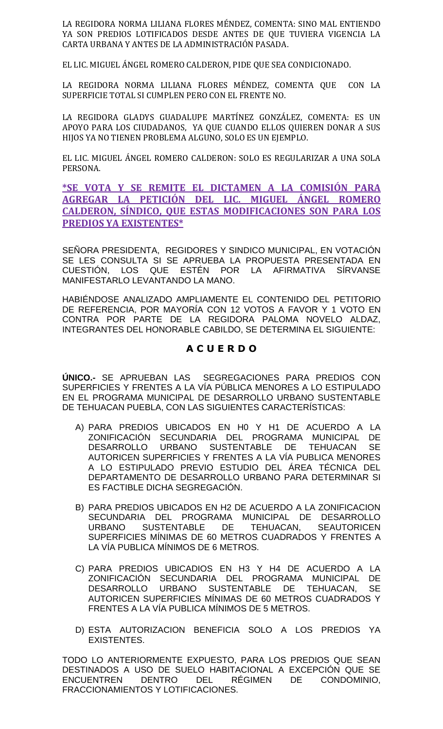LA REGIDORA NORMA LILIANA FLORES MÉNDEZ, COMENTA: SINO MAL ENTIENDO YA SON PREDIOS LOTIFICADOS DESDE ANTES DE QUE TUVIERA VIGENCIA LA CARTA URBANA Y ANTES DE LA ADMINISTRACIÓN PASADA.

EL LIC. MIGUEL ÁNGEL ROMERO CALDERON, PIDE QUE SEA CONDICIONADO.

LA REGIDORA NORMA LILIANA FLORES MÉNDEZ, COMENTA QUE CON LA SUPERFICIE TOTAL SI CUMPLEN PERO CON EL FRENTE NO.

LA REGIDORA GLADYS GUADALUPE MARTÍNEZ GONZÁLEZ, COMENTA: ES UN APOYO PARA LOS CIUDADANOS, YA QUE CUANDO ELLOS QUIEREN DONAR A SUS HIJOS YA NO TIENEN PROBLEMA ALGUNO, SOLO ES UN EJEMPLO.

EL LIC. MIGUEL ÁNGEL ROMERO CALDERON: SOLO ES REGULARIZAR A UNA SOLA PERSONA.

**\*SE VOTA Y SE REMITE EL DICTAMEN A LA COMISIÓN PARA AGREGAR LA PETICIÓN DEL LIC. MIGUEL ÁNGEL ROMERO CALDERON, SÍNDICO, QUE ESTAS MODIFICACIONES SON PARA LOS PREDIOS YA EXISTENTES\***

SEÑORA PRESIDENTA, REGIDORES Y SINDICO MUNICIPAL, EN VOTACIÓN SE LES CONSULTA SI SE APRUEBA LA PROPUESTA PRESENTADA EN CUESTIÓN, LOS QUE ESTÉN POR LA AFIRMATIVA SÍRVANSE MANIFESTARLO LEVANTANDO LA MANO.

HABIÉNDOSE ANALIZADO AMPLIAMENTE EL CONTENIDO DEL PETITORIO DE REFERENCIA, POR MAYORÍA CON 12 VOTOS A FAVOR Y 1 VOTO EN CONTRA POR PARTE DE LA REGIDORA PALOMA NOVELO ALDAZ, INTEGRANTES DEL HONORABLE CABILDO, SE DETERMINA EL SIGUIENTE:

# **A C U E R D O**

**ÚNICO.-** SE APRUEBAN LAS SEGREGACIONES PARA PREDIOS CON SUPERFICIES Y FRENTES A LA VÍA PÚBLICA MENORES A LO ESTIPULADO EN EL PROGRAMA MUNICIPAL DE DESARROLLO URBANO SUSTENTABLE DE TEHUACAN PUEBLA, CON LAS SIGUIENTES CARACTERÍSTICAS:

- A) PARA PREDIOS UBICADOS EN H0 Y H1 DE ACUERDO A LA ZONIFICACIÓN SECUNDARIA DEL PROGRAMA MUNICIPAL DE DESARROLLO URBANO SUSTENTABLE DE TEHUACAN SE AUTORICEN SUPERFICIES Y FRENTES A LA VÍA PUBLICA MENORES A LO ESTIPULADO PREVIO ESTUDIO DEL ÁREA TÉCNICA DEL DEPARTAMENTO DE DESARROLLO URBANO PARA DETERMINAR SI ES FACTIBLE DICHA SEGREGACIÓN.
- B) PARA PREDIOS UBICADOS EN H2 DE ACUERDO A LA ZONIFICACION SECUNDARIA DEL PROGRAMA MUNICIPAL DE DESARROLLO URBANO SUSTENTABLE DE TEHUACAN, SEAUTORICEN SUPERFICIES MÍNIMAS DE 60 METROS CUADRADOS Y FRENTES A LA VÍA PUBLICA MÍNIMOS DE 6 METROS.
- C) PARA PREDIOS UBICADIOS EN H3 Y H4 DE ACUERDO A LA ZONIFICACIÓN SECUNDARIA DEL PROGRAMA MUNICIPAL DE DESARROLLO URBANO SUSTENTABLE DE TEHUACAN, SE AUTORICEN SUPERFICIES MÍNIMAS DE 60 METROS CUADRADOS Y FRENTES A LA VÍA PUBLICA MÍNIMOS DE 5 METROS.
- D) ESTA AUTORIZACION BENEFICIA SOLO A LOS PREDIOS YA EXISTENTES.

TODO LO ANTERIORMENTE EXPUESTO, PARA LOS PREDIOS QUE SEAN DESTINADOS A USO DE SUELO HABITACIONAL A EXCEPCIÓN QUE SE ENCUENTREN DENTRO DEL RÉGIMEN DE CONDOMINIO, FRACCIONAMIENTOS Y LOTIFICACIONES.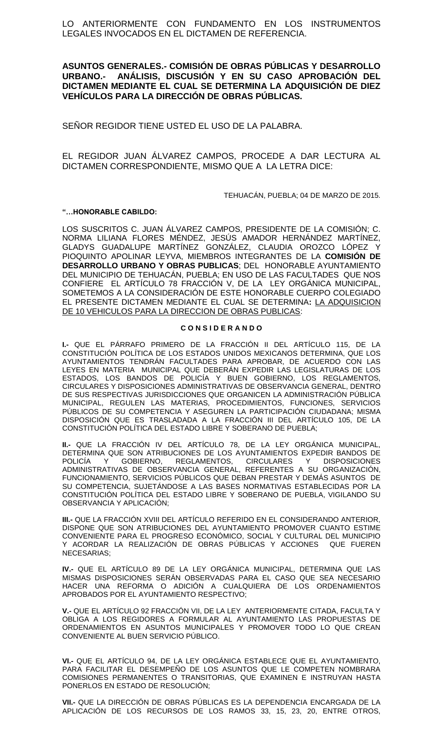LO ANTERIORMENTE CON FUNDAMENTO EN LOS INSTRUMENTOS LEGALES INVOCADOS EN EL DICTAMEN DE REFERENCIA.

**ASUNTOS GENERALES.- COMISIÓN DE OBRAS PÚBLICAS Y DESARROLLO URBANO.- ANÁLISIS, DISCUSIÓN Y EN SU CASO APROBACIÓN DEL DICTAMEN MEDIANTE EL CUAL SE DETERMINA LA ADQUISICIÓN DE DIEZ VEHÍCULOS PARA LA DIRECCIÓN DE OBRAS PÚBLICAS.**

SEÑOR REGIDOR TIENE USTED EL USO DE LA PALABRA.

EL REGIDOR JUAN ÁLVAREZ CAMPOS, PROCEDE A DAR LECTURA AL DICTAMEN CORRESPONDIENTE, MISMO QUE A LA LETRA DICE:

TEHUACÁN, PUEBLA; 04 DE MARZO DE 2015.

#### **"…HONORABLE CABILDO:**

LOS SUSCRITOS C. JUAN ÁLVAREZ CAMPOS, PRESIDENTE DE LA COMISIÓN; C. NORMA LILIANA FLORES MÉNDEZ, JESÚS AMADOR HERNÁNDEZ MARTÍNEZ, GLADYS GUADALUPE MARTÍNEZ GONZÁLEZ, CLAUDIA OROZCO LÓPEZ Y PIOQUINTO APOLINAR LEYVA, MIEMBROS INTEGRANTES DE LA **COMISIÓN DE DESARROLLO URBANO Y OBRAS PUBLICAS**; DEL HONORABLE AYUNTAMIENTO DEL MUNICIPIO DE TEHUACÁN, PUEBLA; EN USO DE LAS FACULTADES QUE NOS CONFIERE EL ARTÍCULO 78 FRACCIÓN V, DE LA LEY ORGÁNICA MUNICIPAL, SOMETEMOS A LA CONSIDERACIÓN DE ESTE HONORABLE CUERPO COLEGIADO EL PRESENTE DICTAMEN MEDIANTE EL CUAL SE DETERMINA**:** LA ADQUISICION DE 10 VEHICULOS PARA LA DIRECCION DE OBRAS PUBLICAS:

#### **C O N S I D E R A N D O**

**I.-** QUE EL PÁRRAFO PRIMERO DE LA FRACCIÓN II DEL ARTÍCULO 115, DE LA CONSTITUCIÓN POLÍTICA DE LOS ESTADOS UNIDOS MEXICANOS DETERMINA, QUE LOS AYUNTAMIENTOS TENDRÁN FACULTADES PARA APROBAR, DE ACUERDO CON LAS LEYES EN MATERIA MUNICIPAL QUE DEBERÁN EXPEDIR LAS LEGISLATURAS DE LOS ESTADOS, LOS BANDOS DE POLICÍA Y BUEN GOBIERNO, LOS REGLAMENTOS, CIRCULARES Y DISPOSICIONES ADMINISTRATIVAS DE OBSERVANCIA GENERAL, DENTRO DE SUS RESPECTIVAS JURISDICCIONES QUE ORGANICEN LA ADMINISTRACIÓN PÚBLICA MUNICIPAL, REGULEN LAS MATERIAS, PROCEDIMIENTOS, FUNCIONES, SERVICIOS PÚBLICOS DE SU COMPETENCIA Y ASEGUREN LA PARTICIPACIÓN CIUDADANA; MISMA DISPOSICIÓN QUE ES TRASLADADA A LA FRACCIÓN III DEL ARTÍCULO 105, DE LA CONSTITUCIÓN POLÍTICA DEL ESTADO LIBRE Y SOBERANO DE PUEBLA;

**II.-** QUE LA FRACCIÓN IV DEL ARTÍCULO 78, DE LA LEY ORGÁNICA MUNICIPAL, DETERMINA QUE SON ATRIBUCIONES DE LOS AYUNTAMIENTOS EXPEDIR BANDOS DE POLICÍA Y GOBIERNO, REGLAMENTOS, CIRCULARES Y DISPOSICIONES ADMINISTRATIVAS DE OBSERVANCIA GENERAL, REFERENTES A SU ORGANIZACIÓN, FUNCIONAMIENTO, SERVICIOS PÚBLICOS QUE DEBAN PRESTAR Y DEMÁS ASUNTOS DE SU COMPETENCIA, SUJETÁNDOSE A LAS BASES NORMATIVAS ESTABLECIDAS POR LA CONSTITUCIÓN POLÍTICA DEL ESTADO LIBRE Y SOBERANO DE PUEBLA, VIGILANDO SU OBSERVANCIA Y APLICACIÓN;

**III.-** QUE LA FRACCIÓN XVIII DEL ARTÍCULO REFERIDO EN EL CONSIDERANDO ANTERIOR, DISPONE QUE SON ATRIBUCIONES DEL AYUNTAMIENTO PROMOVER CUANTO ESTIME CONVENIENTE PARA EL PROGRESO ECONÓMICO, SOCIAL Y CULTURAL DEL MUNICIPIO Y ACORDAR LA REALIZACIÓN DE OBRAS PÚBLICAS Y ACCIONES QUE FUEREN NECESARIAS;

**IV.-** QUE EL ARTÍCULO 89 DE LA LEY ORGÁNICA MUNICIPAL, DETERMINA QUE LAS MISMAS DISPOSICIONES SERÁN OBSERVADAS PARA EL CASO QUE SEA NECESARIO HACER UNA REFORMA O ADICIÓN A CUALQUIERA DE LOS ORDENAMIENTOS APROBADOS POR EL AYUNTAMIENTO RESPECTIVO;

**V.-** QUE EL ARTÍCULO 92 FRACCIÓN VII, DE LA LEY ANTERIORMENTE CITADA, FACULTA Y OBLIGA A LOS REGIDORES A FORMULAR AL AYUNTAMIENTO LAS PROPUESTAS DE ORDENAMIENTOS EN ASUNTOS MUNICIPALES Y PROMOVER TODO LO QUE CREAN CONVENIENTE AL BUEN SERVICIO PÚBLICO.

**VI.-** QUE EL ARTÍCULO 94, DE LA LEY ORGÁNICA ESTABLECE QUE EL AYUNTAMIENTO, PARA FACILITAR EL DESEMPEÑO DE LOS ASUNTOS QUE LE COMPETEN NOMBRARA COMISIONES PERMANENTES O TRANSITORIAS, QUE EXAMINEN E INSTRUYAN HASTA PONERLOS EN ESTADO DE RESOLUCIÓN;

**VII.-** QUE LA DIRECCIÓN DE OBRAS PÚBLICAS ES LA DEPENDENCIA ENCARGADA DE LA APLICACIÓN DE LOS RECURSOS DE LOS RAMOS 33, 15, 23, 20, ENTRE OTROS,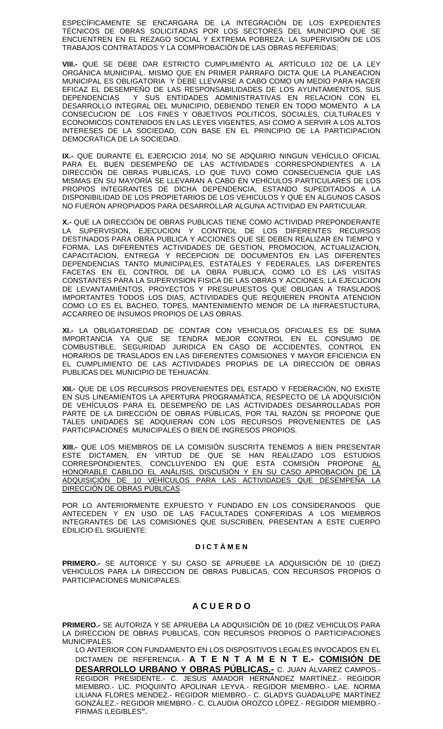ESPECÍFICAMENTE SE ENCARGARA DE LA INTEGRACIÓN DE LOS EXPEDIENTES TÉCNICOS DE OBRAS SOLICITADAS POR LOS SECTORES DEL MUNICIPIO QUE SE ENCUENTREN EN EL REZAGO SOCIAL Y EXTREMA POBREZA; LA SUPERVISIÓN DE LOS TRABAJOS CONTRATADOS Y LA COMPROBACIÓN DE LAS OBRAS REFERIDAS;

**VIII.-** QUE SE DEBE DAR ESTRICTO CUMPLIMIENTO AL ARTÍCULO 102 DE LA LEY ORGÁNICA MUNICIPAL. MISMO QUE EN PRIMER PARRAFO DICTA QUE LA PLANEACION MUNICIPAL ES OBLIGATORIA Y DEBE LLEVARSE A CABO COMO UN MEDIO PARA HACER EFICAZ EL DESEMPEÑO DE LAS RESPONSABILIDADES DE LOS AYUNTAMIENTOS, SUS DEPENDENCIAS Y SUS ENTIDADES ADMINISTRATIVAS EN RELACION CON EL DESARROLLO INTEGRAL DEL MUNICIPIO, DEBIENDO TENER EN TODO MOMENTO A LA CONSECUCION DE LOS FINES Y OBJETIVOS POLITICOS, SOCIALES, CULTURALES Y ECONOMICOS CONTENIDOS EN LAS LEYES VIGENTES, ASI COMO A SERVIR A LOS ALTOS INTERESES DE LA SOCIEDAD, CON BASE EN EL PRINCIPIO DE LA PARTICIPACION DEMOCRATICA DE LA SOCIEDAD.

**IX.-** QUE DURANTE EL EJERCICIO 2014, NO SE ADQUIRIO NINGUN VEHÍCULO OFICIAL PARA EL BUEN DESEMPEÑO DE LAS ACTIVIDADES CORRESPONDIENTES A LA DIRECCIÓN DE OBRAS PUBLICAS, LO QUE TUVO COMO CONSECUENCIA QUE LAS MISMAS EN SU MAYORÍA SE LLEVARAN A CABO EN VEHÍCULOS PARTICULARES DE LOS PROPIOS INTEGRANTES DE DICHA DEPENDENCIA, ESTANDO SUPEDITADOS A LA DISPONIBILIDAD DE LOS PROPIETARIOS DE LOS VEHICULOS Y QUE EN ALGUNOS CASOS NO FUERON APROPIADOS PARA DESARROLLAR ALGUNA ACTIVIDAD EN PARTICULAR.

**X.-** QUE LA DIRECCIÓN DE OBRAS PUBLICAS TIENE COMO ACTIVIDAD PREPONDERANTE LA SUPERVISION, EJECUCION Y CONTROL DE LOS DIFERENTES RECURSOS DESTINADOS PARA OBRA PUBLICA Y ACCIONES QUE SE DEBEN REALIZAR EN TIEMPO Y FORMA, LAS DIFERENTES ACTIVIDADES DE GESTION, PROMOCION, ACTUALIZACION, CAPACITACION, ENTREGA Y RECEPCION DE DOCUMENTOS EN LAS DIFERENTES DEPENDENCIAS TANTO MUNICIPALES, ESTATALES Y FEDERALES, LAS DIFERENTES FACETAS EN EL CONTROL DE LA OBRA PUBLICA, COMO LO ES LAS VISITAS CONSTANTES PARA LA SUPERVISION FISICA DE LAS OBRAS Y ACCIONES, LA EJECUCION DE LEVANTAMIENTOS, PROYECTOS Y PRESUPUESTOS QUE OBLIGAN A TRASLADOS IMPORTANTES TODOS LOS DIAS, ACTIVIDADES QUE REQUIEREN PRONTA ATENCION COMO LO ES EL BACHEO, TOPES, MANTENIMIENTO MENOR DE LA INFRAESTUCTURA, ACCARREO DE INSUMOS PROPIOS DE LAS OBRAS.

**XI.-** LA OBLIGATORIEDAD DE CONTAR CON VEHICULOS OFICIALES ES DE SUMA IMPORTANCIA YA QUE SE TENDRA MEJOR CONTROL EN EL CONSUMO DE COMBUSTIBLE, SEGURIDAD JURIDICA EN CASO DE ACCIDENTES, CONTROL EN HORARIOS DE TRASLADOS EN LAS DIFERENTES COMISIONES Y MAYOR EFICIENCIA EN EL CUMPLIMIENTO DE LAS ACTIVIDADES PROPIAS DE LA DIRECCIÓN DE OBRAS PUBLICAS DEL MUNICIPIO DE TEHUACÁN.

**XII.-** QUE DE LOS RECURSOS PROVENIENTES DEL ESTADO Y FEDERACIÓN, NO EXISTE EN SUS LINEAMIENTOS LA APERTURA PROGRAMÁTICA, RESPECTO DE LA ADQUISICIÓN DE VEHÍCULOS PARA EL DESEMPEÑO DE LAS ACTIVIDADES DESARROLLADAS POR PARTE DE LA DIRECCIÓN DE OBRAS PÚBLICAS, POR TAL RAZÓN SE PROPONE QUE TALES UNIDADES SE ADQUIERAN CON LOS RECURSOS PROVENIENTES DE LAS PARTICIPACIONES MUNICIPALES O BIEN DE INGRESOS PROPIOS.

**XIII.-** QUE LOS MIEMBROS DE LA COMISIÓN SUSCRITA TENEMOS A BIEN PRESENTAR ESTE DICTAMEN, EN VIRTUD DE QUE SE HAN REALIZADO LOS ESTUDIOS CORRESPONDIENTES, CONCLUYENDO EN QUE ESTA COMISIÓN PROPONE <u>AL</u> HONORABLE CABILDO EL ANÁLISIS, DISCUSIÓN Y EN SU CASO APROBACIÓN DE LA ADQUISICIÓN DE 10 VEHÍCULOS PARA LAS ACTIVIDADES QUE DESEMPEÑA LA DIRECCIÓN DE OBRAS PÚBLICAS.

POR LO ANTERIORMENTE EXPUESTO Y FUNDADO EN LOS CONSIDERANDOS QUE ANTECEDEN Y EN USO DE LAS FACULTADES CONFERIDAS A LOS MIEMBROS INTEGRANTES DE LAS COMISIONES QUE SUSCRIBEN, PRESENTAN A ESTE CUERPO EDILICIO EL SIGUIENTE:

#### **D I C T À M E N**

**PRIMERO.-** SE AUTORICE Y SU CASO SE APRUEBE LA ADQUISICIÓN DE 10 (DIEZ) VEHICULOS PARA LA DIRECCION DE OBRAS PUBLICAS, CON RECURSOS PROPIOS O PARTICIPACIONES MUNICIPALES.

# **A C U E R D O**

**PRIMERO.-** SE AUTORIZA Y SE APRUEBA LA ADQUISICIÓN DE 10 (DIEZ VEHICULOS PARA LA DIRECCION DE OBRAS PUBLICAS, CON RECURSOS PROPIOS O PARTICIPACIONES MUNICIPALES.

LO ANTERIOR CON FUNDAMENTO EN LOS DISPOSITIVOS LEGALES INVOCADOS EN EL DICTAMEN DE REFERENCIA.- **A T E N T A M E N T E.- COMISIÓN DE DESARROLLO URBANO Y OBRAS PÚBLICAS.-** C. JUAN ÁLVAREZ CAMPOS.- REGIDOR PRESIDENTE.- C. JESUS AMADOR HERNÁNDEZ MARTÍNEZ.- REGIDOR MIEMBRO.- LIC. PIOQUINTO APOLINAR LEYVA.- REGIDOR MIEMBRO.- LAE. NORMA LILIANA FLORES MENDEZ.- REGIDOR MIEMBRO.- C. GLADYS GUADALUPE MARTÍNEZ GONZÁLEZ.- REGIDOR MIEMBRO.- C. CLAUDIA OROZCO LÓPEZ.- REGIDOR MIEMBRO.- FIRMAS ILEGIBLES**".**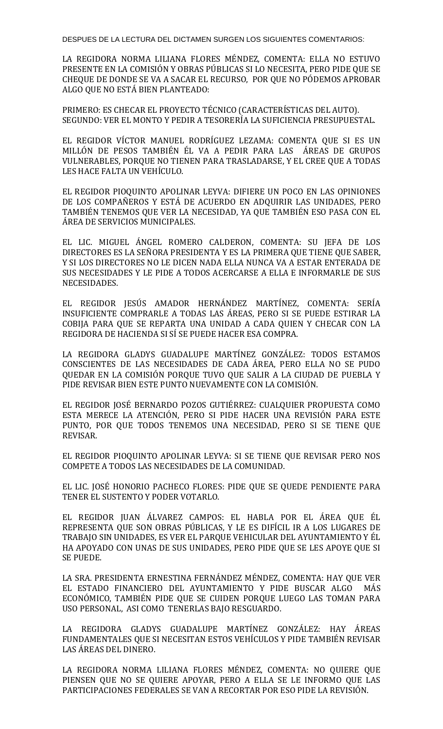DESPUES DE LA LECTURA DEL DICTAMEN SURGEN LOS SIGUIENTES COMENTARIOS:

LA REGIDORA NORMA LILIANA FLORES MÉNDEZ, COMENTA: ELLA NO ESTUVO PRESENTE EN LA COMISIÓN Y OBRAS PÚBLICAS SI LO NECESITA, PERO PIDE QUE SE CHEQUE DE DONDE SE VA A SACAR EL RECURSO, POR QUE NO PÓDEMOS APROBAR ALGO QUE NO ESTÁ BIEN PLANTEADO:

PRIMERO: ES CHECAR EL PROYECTO TÉCNICO (CARACTERÍSTICAS DEL AUTO). SEGUNDO: VER EL MONTO Y PEDIR A TESORERÍA LA SUFICIENCIA PRESUPUESTAL.

EL REGIDOR VÍCTOR MANUEL RODRÍGUEZ LEZAMA: COMENTA QUE SI ES UN MILLÓN DE PESOS TAMBIÉN ÉL VA A PEDIR PARA LAS ÁREAS DE GRUPOS VULNERABLES, PORQUE NO TIENEN PARA TRASLADARSE, Y EL CREE QUE A TODAS LES HACE FALTA UN VEHÍCULO.

EL REGIDOR PIOQUINTO APOLINAR LEYVA: DIFIERE UN POCO EN LAS OPINIONES DE LOS COMPAÑEROS Y ESTÁ DE ACUERDO EN ADQUIRIR LAS UNIDADES, PERO TAMBIÉN TENEMOS QUE VER LA NECESIDAD, YA QUE TAMBIÉN ESO PASA CON EL ÁREA DE SERVICIOS MUNICIPALES.

EL LIC. MIGUEL ÁNGEL ROMERO CALDERON, COMENTA: SU JEFA DE LOS DIRECTORES ES LA SEÑORA PRESIDENTA Y ES LA PRIMERA QUE TIENE QUE SABER, Y SI LOS DIRECTORES NO LE DICEN NADA ELLA NUNCA VA A ESTAR ENTERADA DE SUS NECESIDADES Y LE PIDE A TODOS ACERCARSE A ELLA E INFORMARLE DE SUS NECESIDADES.

EL REGIDOR JESÚS AMADOR HERNÁNDEZ MARTÍNEZ, COMENTA: SERÍA INSUFICIENTE COMPRARLE A TODAS LAS ÁREAS, PERO SI SE PUEDE ESTIRAR LA COBIJA PARA QUE SE REPARTA UNA UNIDAD A CADA QUIEN Y CHECAR CON LA REGIDORA DE HACIENDA SI SÍ SE PUEDE HACER ESA COMPRA.

LA REGIDORA GLADYS GUADALUPE MARTÍNEZ GONZÁLEZ: TODOS ESTAMOS CONSCIENTES DE LAS NECESIDADES DE CADA ÁREA, PERO ELLA NO SE PUDO QUEDAR EN LA COMISIÓN PORQUE TUVO QUE SALIR A LA CIUDAD DE PUEBLA Y PIDE REVISAR BIEN ESTE PUNTO NUEVAMENTE CON LA COMISIÓN.

EL REGIDOR JOSÉ BERNARDO POZOS GUTIÉRREZ: CUALQUIER PROPUESTA COMO ESTA MERECE LA ATENCIÓN, PERO SI PIDE HACER UNA REVISIÓN PARA ESTE PUNTO, POR QUE TODOS TENEMOS UNA NECESIDAD, PERO SI SE TIENE QUE REVISAR.

EL REGIDOR PIOQUINTO APOLINAR LEYVA: SI SE TIENE QUE REVISAR PERO NOS COMPETE A TODOS LAS NECESIDADES DE LA COMUNIDAD.

EL LIC. JOSÉ HONORIO PACHECO FLORES: PIDE QUE SE QUEDE PENDIENTE PARA TENER EL SUSTENTO Y PODER VOTARLO.

EL REGIDOR JUAN ÁLVAREZ CAMPOS: EL HABLA POR EL ÁREA QUE ÉL REPRESENTA QUE SON OBRAS PÚBLICAS, Y LE ES DIFÍCIL IR A LOS LUGARES DE TRABAJO SIN UNIDADES, ES VER EL PARQUE VEHICULAR DEL AYUNTAMIENTO Y ÉL HA APOYADO CON UNAS DE SUS UNIDADES, PERO PIDE QUE SE LES APOYE QUE SI SE PUEDE.

LA SRA. PRESIDENTA ERNESTINA FERNÁNDEZ MÉNDEZ, COMENTA: HAY QUE VER EL ESTADO FINANCIERO DEL AYUNTAMIENTO Y PIDE BUSCAR ALGO MÁS ECONÓMICO, TAMBIÉN PIDE QUE SE CUIDEN PORQUE LUEGO LAS TOMAN PARA USO PERSONAL, ASI COMO TENERLAS BAJO RESGUARDO.

LA REGIDORA GLADYS GUADALUPE MARTÍNEZ GONZÁLEZ: HAY ÁREAS FUNDAMENTALES QUE SI NECESITAN ESTOS VEHÍCULOS Y PIDE TAMBIÉN REVISAR LAS ÁREAS DEL DINERO.

LA REGIDORA NORMA LILIANA FLORES MÉNDEZ, COMENTA: NO QUIERE QUE PIENSEN QUE NO SE QUIERE APOYAR, PERO A ELLA SE LE INFORMO QUE LAS PARTICIPACIONES FEDERALES SE VAN A RECORTAR POR ESO PIDE LA REVISIÓN.